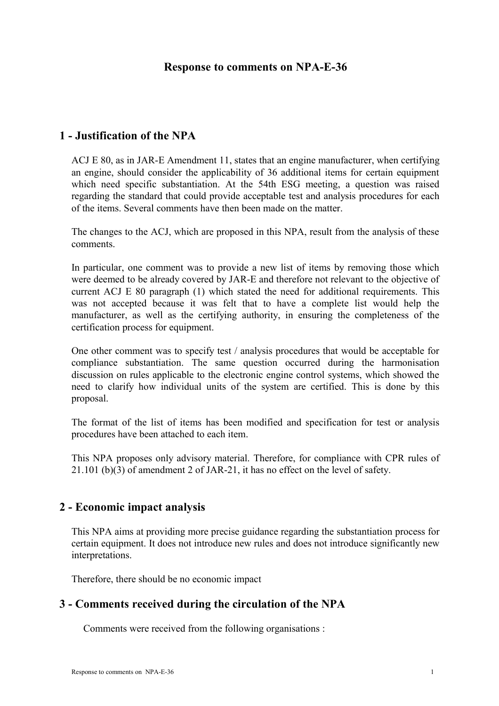#### **Response to comments on NPA-E-36**

## **1 - Justification of the NPA**

ACJ E 80, as in JAR-E Amendment 11, states that an engine manufacturer, when certifying an engine, should consider the applicability of 36 additional items for certain equipment which need specific substantiation. At the 54th ESG meeting, a question was raised regarding the standard that could provide acceptable test and analysis procedures for each of the items. Several comments have then been made on the matter.

The changes to the ACJ, which are proposed in this NPA, result from the analysis of these comments.

In particular, one comment was to provide a new list of items by removing those which were deemed to be already covered by JAR-E and therefore not relevant to the objective of current ACJ E 80 paragraph (1) which stated the need for additional requirements. This was not accepted because it was felt that to have a complete list would help the manufacturer, as well as the certifying authority, in ensuring the completeness of the certification process for equipment.

One other comment was to specify test / analysis procedures that would be acceptable for compliance substantiation. The same question occurred during the harmonisation discussion on rules applicable to the electronic engine control systems, which showed the need to clarify how individual units of the system are certified. This is done by this proposal.

The format of the list of items has been modified and specification for test or analysis procedures have been attached to each item.

This NPA proposes only advisory material. Therefore, for compliance with CPR rules of 21.101 (b)(3) of amendment 2 of JAR-21, it has no effect on the level of safety.

## **2 - Economic impact analysis**

This NPA aims at providing more precise guidance regarding the substantiation process for certain equipment. It does not introduce new rules and does not introduce significantly new interpretations.

Therefore, there should be no economic impact

## **3 - Comments received during the circulation of the NPA**

Comments were received from the following organisations :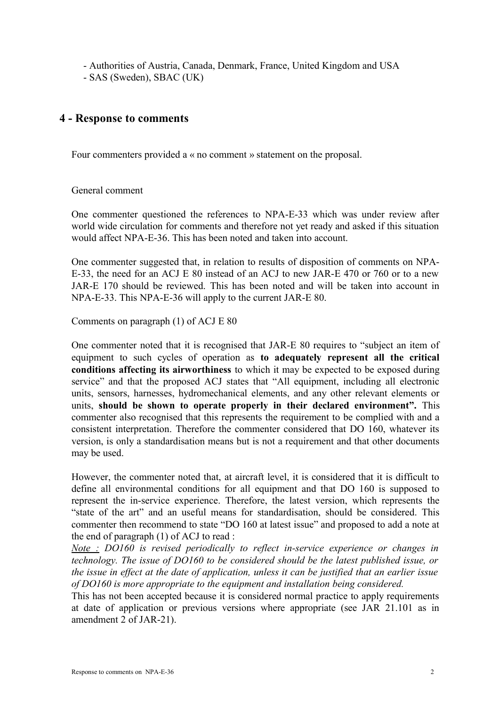- Authorities of Austria, Canada, Denmark, France, United Kingdom and USA

- SAS (Sweden), SBAC (UK)

# **4 - Response to comments**

Four commenters provided a « no comment » statement on the proposal.

#### General comment

One commenter questioned the references to NPA-E-33 which was under review after world wide circulation for comments and therefore not yet ready and asked if this situation would affect NPA-E-36. This has been noted and taken into account.

One commenter suggested that, in relation to results of disposition of comments on NPA-E-33, the need for an ACJ E 80 instead of an ACJ to new JAR-E 470 or 760 or to a new JAR-E 170 should be reviewed. This has been noted and will be taken into account in NPA-E-33. This NPA-E-36 will apply to the current JAR-E 80.

Comments on paragraph (1) of ACJ E 80

One commenter noted that it is recognised that JAR-E 80 requires to "subject an item of equipment to such cycles of operation as **to adequately represent all the critical conditions affecting its airworthiness** to which it may be expected to be exposed during service" and that the proposed ACJ states that "All equipment, including all electronic units, sensors, harnesses, hydromechanical elements, and any other relevant elements or units, **should be shown to operate properly in their declared environment".** This commenter also recognised that this represents the requirement to be complied with and a consistent interpretation. Therefore the commenter considered that DO 160, whatever its version, is only a standardisation means but is not a requirement and that other documents may be used.

However, the commenter noted that, at aircraft level, it is considered that it is difficult to define all environmental conditions for all equipment and that DO 160 is supposed to represent the in-service experience. Therefore, the latest version, which represents the "state of the art" and an useful means for standardisation, should be considered. This commenter then recommend to state "DO 160 at latest issue" and proposed to add a note at the end of paragraph (1) of ACJ to read :

*Note : DO160 is revised periodically to reflect in-service experience or changes in technology. The issue of DO160 to be considered should be the latest published issue, or the issue in effect at the date of application, unless it can be justified that an earlier issue of DO160 is more appropriate to the equipment and installation being considered.*

This has not been accepted because it is considered normal practice to apply requirements at date of application or previous versions where appropriate (see JAR 21.101 as in amendment 2 of JAR-21).